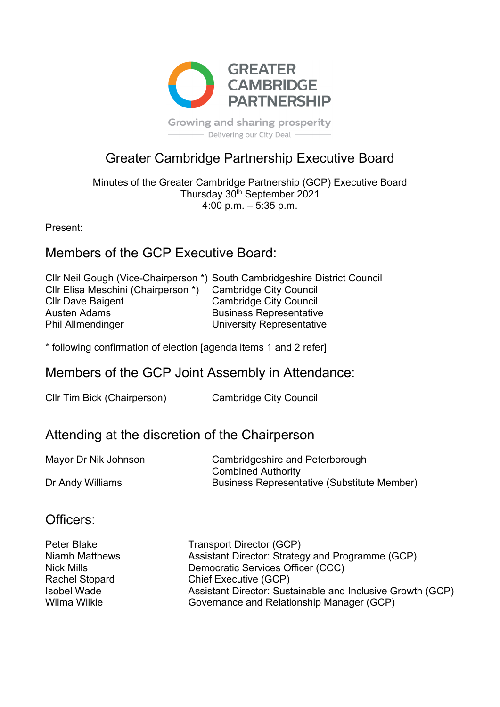

**Growing and sharing prosperity** Delivering our City Deal -

# Greater Cambridge Partnership Executive Board

Minutes of the Greater Cambridge Partnership (GCP) Executive Board Thursday 30th September 2021 4:00 p.m.  $-$  5:35 p.m.

Present:

## Members of the GCP Executive Board:

|                                     | Cllr Neil Gough (Vice-Chairperson *) South Cambridgeshire District Council |
|-------------------------------------|----------------------------------------------------------------------------|
| CIIr Elisa Meschini (Chairperson *) | <b>Cambridge City Council</b>                                              |
| <b>Cllr Dave Baigent</b>            | <b>Cambridge City Council</b>                                              |
| Austen Adams                        | <b>Business Representative</b>                                             |
| <b>Phil Allmendinger</b>            | University Representative                                                  |
|                                     |                                                                            |

\* following confirmation of election [agenda items 1 and 2 refer]

## Members of the GCP Joint Assembly in Attendance:

| Cllr Tim Bick (Chairperson) | <b>Cambridge City Council</b> |
|-----------------------------|-------------------------------|
|-----------------------------|-------------------------------|

## Attending at the discretion of the Chairperson

| Mayor Dr Nik Johnson | Cambridgeshire and Peterborough                    |
|----------------------|----------------------------------------------------|
|                      | <b>Combined Authority</b>                          |
| Dr Andy Williams     | <b>Business Representative (Substitute Member)</b> |

## Officers:

| Peter Blake           | <b>Transport Director (GCP)</b>                            |
|-----------------------|------------------------------------------------------------|
| <b>Niamh Matthews</b> | Assistant Director: Strategy and Programme (GCP)           |
| Nick Mills            | Democratic Services Officer (CCC)                          |
| <b>Rachel Stopard</b> | Chief Executive (GCP)                                      |
| <b>Isobel Wade</b>    | Assistant Director: Sustainable and Inclusive Growth (GCP) |
| Wilma Wilkie          | Governance and Relationship Manager (GCP)                  |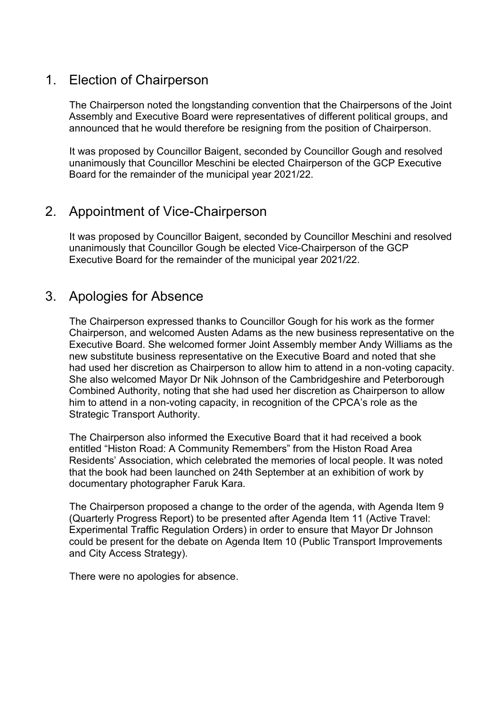## 1. Election of Chairperson

The Chairperson noted the longstanding convention that the Chairpersons of the Joint Assembly and Executive Board were representatives of different political groups, and announced that he would therefore be resigning from the position of Chairperson.

It was proposed by Councillor Baigent, seconded by Councillor Gough and resolved unanimously that Councillor Meschini be elected Chairperson of the GCP Executive Board for the remainder of the municipal year 2021/22.

## 2. Appointment of Vice-Chairperson

It was proposed by Councillor Baigent, seconded by Councillor Meschini and resolved unanimously that Councillor Gough be elected Vice-Chairperson of the GCP Executive Board for the remainder of the municipal year 2021/22.

## 3. Apologies for Absence

The Chairperson expressed thanks to Councillor Gough for his work as the former Chairperson, and welcomed Austen Adams as the new business representative on the Executive Board. She welcomed former Joint Assembly member Andy Williams as the new substitute business representative on the Executive Board and noted that she had used her discretion as Chairperson to allow him to attend in a non-voting capacity. She also welcomed Mayor Dr Nik Johnson of the Cambridgeshire and Peterborough Combined Authority, noting that she had used her discretion as Chairperson to allow him to attend in a non-voting capacity, in recognition of the CPCA's role as the Strategic Transport Authority.

The Chairperson also informed the Executive Board that it had received a book entitled "Histon Road: A Community Remembers" from the Histon Road Area Residents' Association, which celebrated the memories of local people. It was noted that the book had been launched on 24th September at an exhibition of work by documentary photographer Faruk Kara.

The Chairperson proposed a change to the order of the agenda, with Agenda Item 9 (Quarterly Progress Report) to be presented after Agenda Item 11 (Active Travel: Experimental Traffic Regulation Orders) in order to ensure that Mayor Dr Johnson could be present for the debate on Agenda Item 10 (Public Transport Improvements and City Access Strategy).

There were no apologies for absence.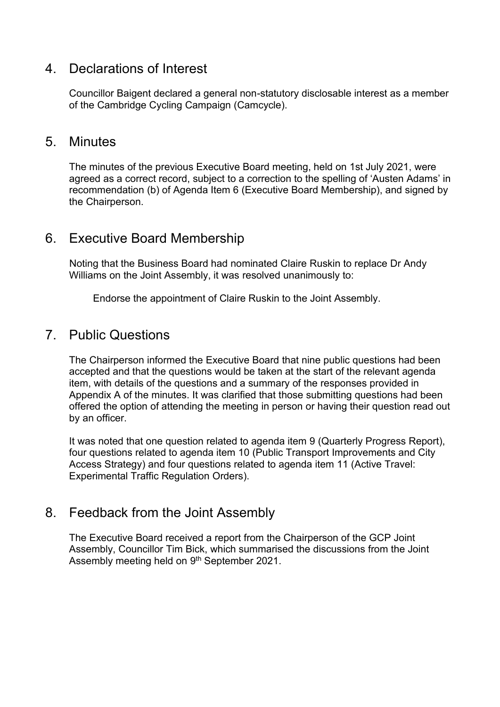### 4. Declarations of Interest

Councillor Baigent declared a general non-statutory disclosable interest as a member of the Cambridge Cycling Campaign (Camcycle).

### 5. Minutes

The minutes of the previous Executive Board meeting, held on 1st July 2021, were agreed as a correct record, subject to a correction to the spelling of 'Austen Adams' in recommendation (b) of Agenda Item 6 (Executive Board Membership), and signed by the Chairperson.

### 6. Executive Board Membership

Noting that the Business Board had nominated Claire Ruskin to replace Dr Andy Williams on the Joint Assembly, it was resolved unanimously to:

Endorse the appointment of Claire Ruskin to the Joint Assembly.

### 7. Public Questions

The Chairperson informed the Executive Board that nine public questions had been accepted and that the questions would be taken at the start of the relevant agenda item, with details of the questions and a summary of the responses provided in Appendix A of the minutes. It was clarified that those submitting questions had been offered the option of attending the meeting in person or having their question read out by an officer.

It was noted that one question related to agenda item 9 (Quarterly Progress Report), four questions related to agenda item 10 (Public Transport Improvements and City Access Strategy) and four questions related to agenda item 11 (Active Travel: Experimental Traffic Regulation Orders).

## 8. Feedback from the Joint Assembly

The Executive Board received a report from the Chairperson of the GCP Joint Assembly, Councillor Tim Bick, which summarised the discussions from the Joint Assembly meeting held on 9<sup>th</sup> September 2021.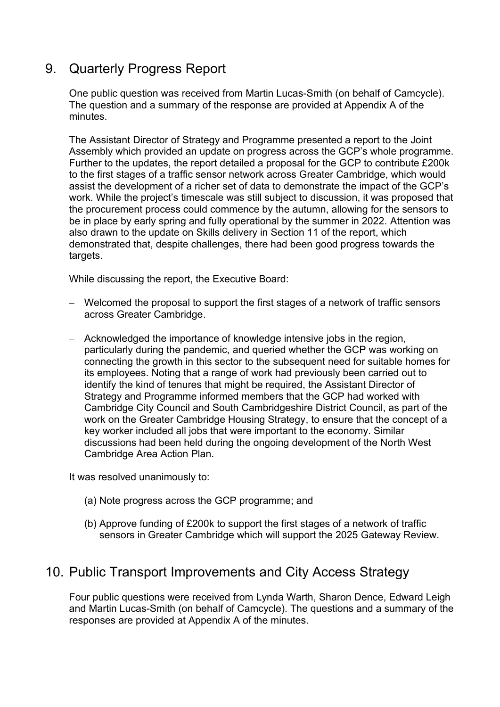## 9. Quarterly Progress Report

One public question was received from Martin Lucas-Smith (on behalf of Camcycle). The question and a summary of the response are provided at Appendix A of the minutes.

The Assistant Director of Strategy and Programme presented a report to the Joint Assembly which provided an update on progress across the GCP's whole programme. Further to the updates, the report detailed a proposal for the GCP to contribute £200k to the first stages of a traffic sensor network across Greater Cambridge, which would assist the development of a richer set of data to demonstrate the impact of the GCP's work. While the project's timescale was still subject to discussion, it was proposed that the procurement process could commence by the autumn, allowing for the sensors to be in place by early spring and fully operational by the summer in 2022. Attention was also drawn to the update on Skills delivery in Section 11 of the report, which demonstrated that, despite challenges, there had been good progress towards the targets.

While discussing the report, the Executive Board:

- − Welcomed the proposal to support the first stages of a network of traffic sensors across Greater Cambridge.
- − Acknowledged the importance of knowledge intensive jobs in the region, particularly during the pandemic, and queried whether the GCP was working on connecting the growth in this sector to the subsequent need for suitable homes for its employees. Noting that a range of work had previously been carried out to identify the kind of tenures that might be required, the Assistant Director of Strategy and Programme informed members that the GCP had worked with Cambridge City Council and South Cambridgeshire District Council, as part of the work on the Greater Cambridge Housing Strategy, to ensure that the concept of a key worker included all jobs that were important to the economy. Similar discussions had been held during the ongoing development of the North West Cambridge Area Action Plan.

It was resolved unanimously to:

- (a) Note progress across the GCP programme; and
- (b) Approve funding of £200k to support the first stages of a network of traffic sensors in Greater Cambridge which will support the 2025 Gateway Review.

## 10. Public Transport Improvements and City Access Strategy

Four public questions were received from Lynda Warth, Sharon Dence, Edward Leigh and Martin Lucas-Smith (on behalf of Camcycle). The questions and a summary of the responses are provided at Appendix A of the minutes.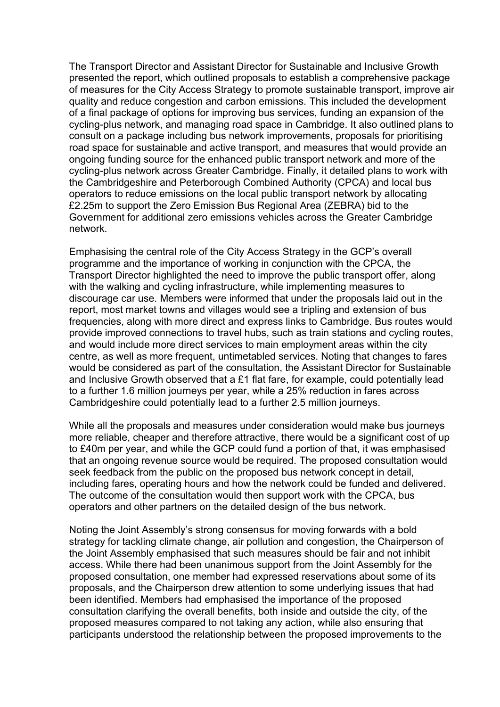The Transport Director and Assistant Director for Sustainable and Inclusive Growth presented the report, which outlined proposals to establish a comprehensive package of measures for the City Access Strategy to promote sustainable transport, improve air quality and reduce congestion and carbon emissions. This included the development of a final package of options for improving bus services, funding an expansion of the cycling-plus network, and managing road space in Cambridge. It also outlined plans to consult on a package including bus network improvements, proposals for prioritising road space for sustainable and active transport, and measures that would provide an ongoing funding source for the enhanced public transport network and more of the cycling-plus network across Greater Cambridge. Finally, it detailed plans to work with the Cambridgeshire and Peterborough Combined Authority (CPCA) and local bus operators to reduce emissions on the local public transport network by allocating £2.25m to support the Zero Emission Bus Regional Area (ZEBRA) bid to the Government for additional zero emissions vehicles across the Greater Cambridge network.

Emphasising the central role of the City Access Strategy in the GCP's overall programme and the importance of working in conjunction with the CPCA, the Transport Director highlighted the need to improve the public transport offer, along with the walking and cycling infrastructure, while implementing measures to discourage car use. Members were informed that under the proposals laid out in the report, most market towns and villages would see a tripling and extension of bus frequencies, along with more direct and express links to Cambridge. Bus routes would provide improved connections to travel hubs, such as train stations and cycling routes, and would include more direct services to main employment areas within the city centre, as well as more frequent, untimetabled services. Noting that changes to fares would be considered as part of the consultation, the Assistant Director for Sustainable and Inclusive Growth observed that a £1 flat fare, for example, could potentially lead to a further 1.6 million journeys per year, while a 25% reduction in fares across Cambridgeshire could potentially lead to a further 2.5 million journeys.

While all the proposals and measures under consideration would make bus journeys more reliable, cheaper and therefore attractive, there would be a significant cost of up to £40m per year, and while the GCP could fund a portion of that, it was emphasised that an ongoing revenue source would be required. The proposed consultation would seek feedback from the public on the proposed bus network concept in detail, including fares, operating hours and how the network could be funded and delivered. The outcome of the consultation would then support work with the CPCA, bus operators and other partners on the detailed design of the bus network.

Noting the Joint Assembly's strong consensus for moving forwards with a bold strategy for tackling climate change, air pollution and congestion, the Chairperson of the Joint Assembly emphasised that such measures should be fair and not inhibit access. While there had been unanimous support from the Joint Assembly for the proposed consultation, one member had expressed reservations about some of its proposals, and the Chairperson drew attention to some underlying issues that had been identified. Members had emphasised the importance of the proposed consultation clarifying the overall benefits, both inside and outside the city, of the proposed measures compared to not taking any action, while also ensuring that participants understood the relationship between the proposed improvements to the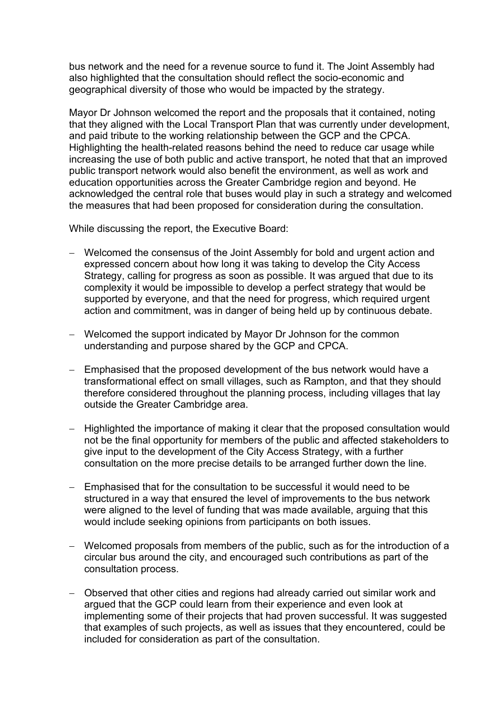bus network and the need for a revenue source to fund it. The Joint Assembly had also highlighted that the consultation should reflect the socio-economic and geographical diversity of those who would be impacted by the strategy.

Mayor Dr Johnson welcomed the report and the proposals that it contained, noting that they aligned with the Local Transport Plan that was currently under development, and paid tribute to the working relationship between the GCP and the CPCA. Highlighting the health-related reasons behind the need to reduce car usage while increasing the use of both public and active transport, he noted that that an improved public transport network would also benefit the environment, as well as work and education opportunities across the Greater Cambridge region and beyond. He acknowledged the central role that buses would play in such a strategy and welcomed the measures that had been proposed for consideration during the consultation.

While discussing the report, the Executive Board:

- − Welcomed the consensus of the Joint Assembly for bold and urgent action and expressed concern about how long it was taking to develop the City Access Strategy, calling for progress as soon as possible. It was argued that due to its complexity it would be impossible to develop a perfect strategy that would be supported by everyone, and that the need for progress, which required urgent action and commitment, was in danger of being held up by continuous debate.
- − Welcomed the support indicated by Mayor Dr Johnson for the common understanding and purpose shared by the GCP and CPCA.
- − Emphasised that the proposed development of the bus network would have a transformational effect on small villages, such as Rampton, and that they should therefore considered throughout the planning process, including villages that lay outside the Greater Cambridge area.
- − Highlighted the importance of making it clear that the proposed consultation would not be the final opportunity for members of the public and affected stakeholders to give input to the development of the City Access Strategy, with a further consultation on the more precise details to be arranged further down the line.
- − Emphasised that for the consultation to be successful it would need to be structured in a way that ensured the level of improvements to the bus network were aligned to the level of funding that was made available, arguing that this would include seeking opinions from participants on both issues.
- − Welcomed proposals from members of the public, such as for the introduction of a circular bus around the city, and encouraged such contributions as part of the consultation process.
- − Observed that other cities and regions had already carried out similar work and argued that the GCP could learn from their experience and even look at implementing some of their projects that had proven successful. It was suggested that examples of such projects, as well as issues that they encountered, could be included for consideration as part of the consultation.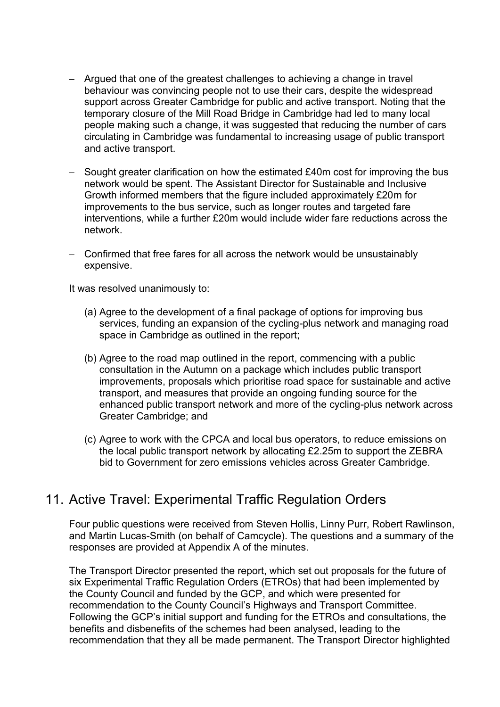- − Argued that one of the greatest challenges to achieving a change in travel behaviour was convincing people not to use their cars, despite the widespread support across Greater Cambridge for public and active transport. Noting that the temporary closure of the Mill Road Bridge in Cambridge had led to many local people making such a change, it was suggested that reducing the number of cars circulating in Cambridge was fundamental to increasing usage of public transport and active transport.
- Sought greater clarification on how the estimated £40m cost for improving the bus network would be spent. The Assistant Director for Sustainable and Inclusive Growth informed members that the figure included approximately £20m for improvements to the bus service, such as longer routes and targeted fare interventions, while a further £20m would include wider fare reductions across the network.
- − Confirmed that free fares for all across the network would be unsustainably expensive.

It was resolved unanimously to:

- (a) Agree to the development of a final package of options for improving bus services, funding an expansion of the cycling-plus network and managing road space in Cambridge as outlined in the report;
- (b) Agree to the road map outlined in the report, commencing with a public consultation in the Autumn on a package which includes public transport improvements, proposals which prioritise road space for sustainable and active transport, and measures that provide an ongoing funding source for the enhanced public transport network and more of the cycling-plus network across Greater Cambridge; and
- (c) Agree to work with the CPCA and local bus operators, to reduce emissions on the local public transport network by allocating £2.25m to support the ZEBRA bid to Government for zero emissions vehicles across Greater Cambridge.

## 11. Active Travel: Experimental Traffic Regulation Orders

Four public questions were received from Steven Hollis, Linny Purr, Robert Rawlinson, and Martin Lucas-Smith (on behalf of Camcycle). The questions and a summary of the responses are provided at Appendix A of the minutes.

The Transport Director presented the report, which set out proposals for the future of six Experimental Traffic Regulation Orders (ETROs) that had been implemented by the County Council and funded by the GCP, and which were presented for recommendation to the County Council's Highways and Transport Committee. Following the GCP's initial support and funding for the ETROs and consultations, the benefits and disbenefits of the schemes had been analysed, leading to the recommendation that they all be made permanent. The Transport Director highlighted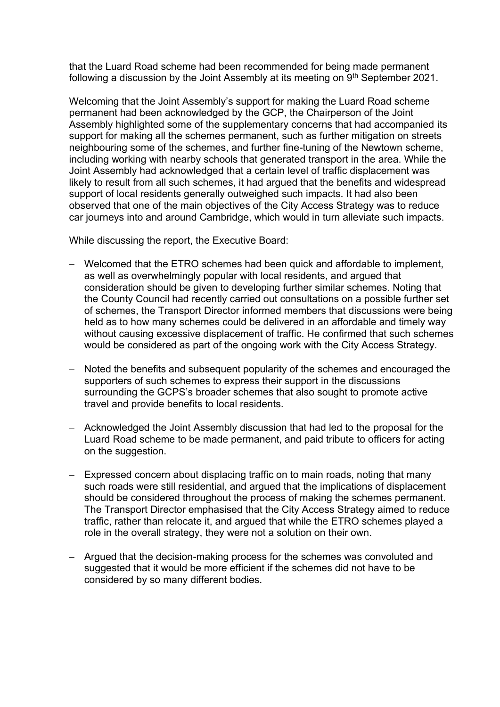that the Luard Road scheme had been recommended for being made permanent following a discussion by the Joint Assembly at its meeting on  $9<sup>th</sup>$  September 2021.

Welcoming that the Joint Assembly's support for making the Luard Road scheme permanent had been acknowledged by the GCP, the Chairperson of the Joint Assembly highlighted some of the supplementary concerns that had accompanied its support for making all the schemes permanent, such as further mitigation on streets neighbouring some of the schemes, and further fine-tuning of the Newtown scheme, including working with nearby schools that generated transport in the area. While the Joint Assembly had acknowledged that a certain level of traffic displacement was likely to result from all such schemes, it had argued that the benefits and widespread support of local residents generally outweighed such impacts. It had also been observed that one of the main objectives of the City Access Strategy was to reduce car journeys into and around Cambridge, which would in turn alleviate such impacts.

While discussing the report, the Executive Board:

- − Welcomed that the ETRO schemes had been quick and affordable to implement, as well as overwhelmingly popular with local residents, and argued that consideration should be given to developing further similar schemes. Noting that the County Council had recently carried out consultations on a possible further set of schemes, the Transport Director informed members that discussions were being held as to how many schemes could be delivered in an affordable and timely way without causing excessive displacement of traffic. He confirmed that such schemes would be considered as part of the ongoing work with the City Access Strategy.
- − Noted the benefits and subsequent popularity of the schemes and encouraged the supporters of such schemes to express their support in the discussions surrounding the GCPS's broader schemes that also sought to promote active travel and provide benefits to local residents.
- − Acknowledged the Joint Assembly discussion that had led to the proposal for the Luard Road scheme to be made permanent, and paid tribute to officers for acting on the suggestion.
- − Expressed concern about displacing traffic on to main roads, noting that many such roads were still residential, and argued that the implications of displacement should be considered throughout the process of making the schemes permanent. The Transport Director emphasised that the City Access Strategy aimed to reduce traffic, rather than relocate it, and argued that while the ETRO schemes played a role in the overall strategy, they were not a solution on their own.
- − Argued that the decision-making process for the schemes was convoluted and suggested that it would be more efficient if the schemes did not have to be considered by so many different bodies.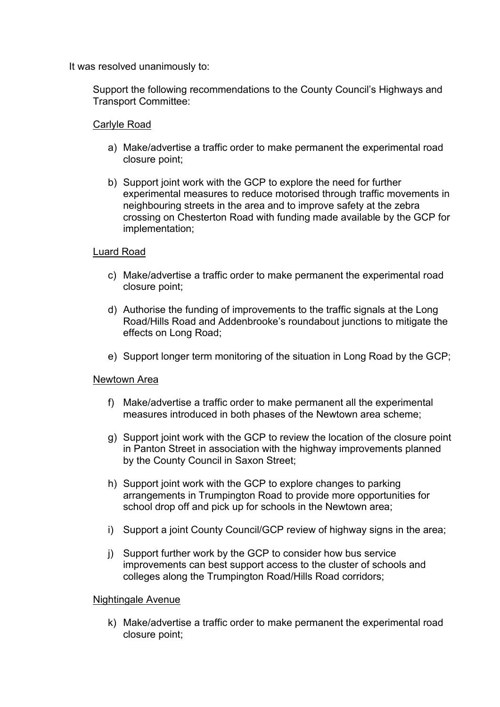It was resolved unanimously to:

Support the following recommendations to the County Council's Highways and Transport Committee:

### Carlyle Road

- a) Make/advertise a traffic order to make permanent the experimental road closure point;
- b) Support joint work with the GCP to explore the need for further experimental measures to reduce motorised through traffic movements in neighbouring streets in the area and to improve safety at the zebra crossing on Chesterton Road with funding made available by the GCP for implementation;

### Luard Road

- c) Make/advertise a traffic order to make permanent the experimental road closure point;
- d) Authorise the funding of improvements to the traffic signals at the Long Road/Hills Road and Addenbrooke's roundabout junctions to mitigate the effects on Long Road;
- e) Support longer term monitoring of the situation in Long Road by the GCP;

### Newtown Area

- f) Make/advertise a traffic order to make permanent all the experimental measures introduced in both phases of the Newtown area scheme;
- g) Support joint work with the GCP to review the location of the closure point in Panton Street in association with the highway improvements planned by the County Council in Saxon Street;
- h) Support joint work with the GCP to explore changes to parking arrangements in Trumpington Road to provide more opportunities for school drop off and pick up for schools in the Newtown area;
- i) Support a joint County Council/GCP review of highway signs in the area:
- j) Support further work by the GCP to consider how bus service improvements can best support access to the cluster of schools and colleges along the Trumpington Road/Hills Road corridors;

### Nightingale Avenue

k) Make/advertise a traffic order to make permanent the experimental road closure point;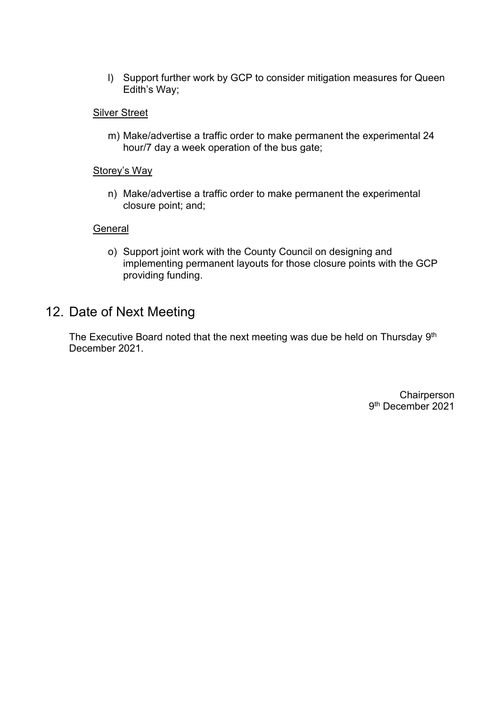l) Support further work by GCP to consider mitigation measures for Queen Edith's Way;

### **Silver Street**

m) Make/advertise a traffic order to make permanent the experimental 24 hour/7 day a week operation of the bus gate;

### Storey's Way

n) Make/advertise a traffic order to make permanent the experimental closure point; and;

#### **General**

o) Support joint work with the County Council on designing and implementing permanent layouts for those closure points with the GCP providing funding.

### 12. Date of Next Meeting

The Executive Board noted that the next meeting was due be held on Thursday 9<sup>th</sup> December 2021.

> **Chairperson** 9 th December 2021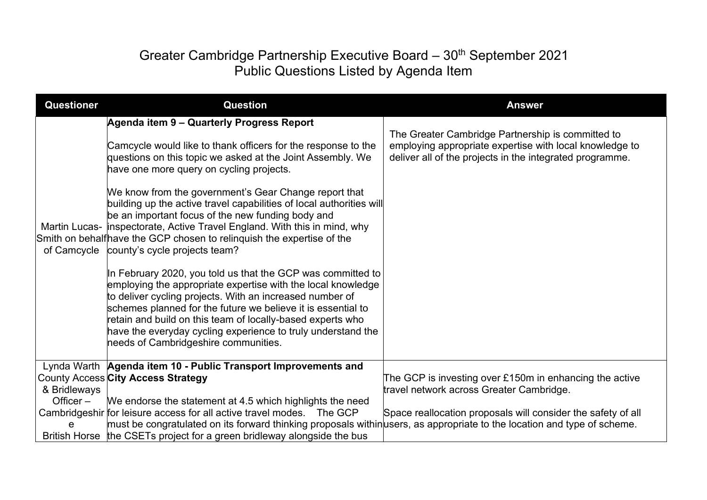# Greater Cambridge Partnership Executive Board - 30<sup>th</sup> September 2021 Public Questions Listed by Agenda Item

| <b>Questioner</b> | <b>Question</b>                                                                                                                                                                                                                                                                                                                                                                                                                                                                                                                                                                                                                                                                                                                                                                                                                                                                                                                                                                                                                                | <b>Answer</b>                                                                                                                                                            |
|-------------------|------------------------------------------------------------------------------------------------------------------------------------------------------------------------------------------------------------------------------------------------------------------------------------------------------------------------------------------------------------------------------------------------------------------------------------------------------------------------------------------------------------------------------------------------------------------------------------------------------------------------------------------------------------------------------------------------------------------------------------------------------------------------------------------------------------------------------------------------------------------------------------------------------------------------------------------------------------------------------------------------------------------------------------------------|--------------------------------------------------------------------------------------------------------------------------------------------------------------------------|
|                   | Agenda item 9 - Quarterly Progress Report<br>Camcycle would like to thank officers for the response to the<br>questions on this topic we asked at the Joint Assembly. We<br>have one more query on cycling projects.<br>We know from the government's Gear Change report that<br>building up the active travel capabilities of local authorities will<br>be an important focus of the new funding body and<br>Martin Lucas- inspectorate, Active Travel England. With this in mind, why<br>Smith on behalfhave the GCP chosen to relinquish the expertise of the<br>of Camcycle county's cycle projects team?<br>In February 2020, you told us that the GCP was committed to<br>employing the appropriate expertise with the local knowledge<br>to deliver cycling projects. With an increased number of<br>schemes planned for the future we believe it is essential to<br>retain and build on this team of locally-based experts who<br>have the everyday cycling experience to truly understand the<br>needs of Cambridgeshire communities. | The Greater Cambridge Partnership is committed to<br>employing appropriate expertise with local knowledge to<br>deliver all of the projects in the integrated programme. |
| & Bridleways      | Lynda Warth Agenda item 10 - Public Transport Improvements and<br>County Access City Access Strategy                                                                                                                                                                                                                                                                                                                                                                                                                                                                                                                                                                                                                                                                                                                                                                                                                                                                                                                                           | The GCP is investing over $£150m$ in enhancing the active<br>travel network across Greater Cambridge.                                                                    |
| Officer $-$<br>e  | We endorse the statement at 4.5 which highlights the need<br>Cambridgeshir for leisure access for all active travel modes. The GCP<br>must be congratulated on its forward thinking proposals withinusers, as appropriate to the location and type of scheme.<br>British Horse the CSETs project for a green bridleway alongside the bus                                                                                                                                                                                                                                                                                                                                                                                                                                                                                                                                                                                                                                                                                                       | Space reallocation proposals will consider the safety of all                                                                                                             |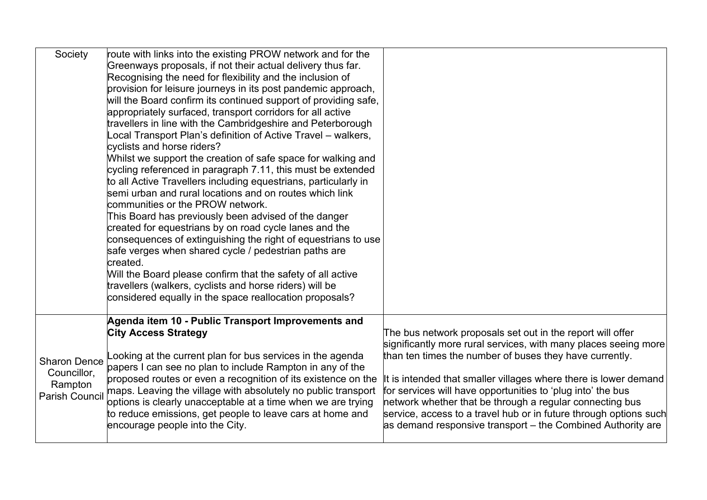| Society               | route with links into the existing PROW network and for the     |                                                                   |
|-----------------------|-----------------------------------------------------------------|-------------------------------------------------------------------|
|                       | Greenways proposals, if not their actual delivery thus far.     |                                                                   |
|                       | Recognising the need for flexibility and the inclusion of       |                                                                   |
|                       | provision for leisure journeys in its post pandemic approach,   |                                                                   |
|                       | will the Board confirm its continued support of providing safe, |                                                                   |
|                       | appropriately surfaced, transport corridors for all active      |                                                                   |
|                       | travellers in line with the Cambridgeshire and Peterborough     |                                                                   |
|                       | ocal Transport Plan's definition of Active Travel – walkers,    |                                                                   |
|                       | cyclists and horse riders?                                      |                                                                   |
|                       | Whilst we support the creation of safe space for walking and    |                                                                   |
|                       | cycling referenced in paragraph 7.11, this must be extended     |                                                                   |
|                       | to all Active Travellers including equestrians, particularly in |                                                                   |
|                       | semi urban and rural locations and on routes which link         |                                                                   |
|                       | communities or the PROW network.                                |                                                                   |
|                       | This Board has previously been advised of the danger            |                                                                   |
|                       | created for equestrians by on road cycle lanes and the          |                                                                   |
|                       | consequences of extinguishing the right of equestrians to use   |                                                                   |
|                       | safe verges when shared cycle / pedestrian paths are            |                                                                   |
|                       | created.                                                        |                                                                   |
|                       | Will the Board please confirm that the safety of all active     |                                                                   |
|                       | travellers (walkers, cyclists and horse riders) will be         |                                                                   |
|                       | considered equally in the space reallocation proposals?         |                                                                   |
|                       |                                                                 |                                                                   |
|                       | Agenda item 10 - Public Transport Improvements and              |                                                                   |
|                       | <b>City Access Strategy</b>                                     | The bus network proposals set out in the report will offer        |
|                       |                                                                 | significantly more rural services, with many places seeing more   |
| <b>Sharon Dence</b>   | ooking at the current plan for bus services in the agenda       | than ten times the number of buses they have currently.           |
| Councillor,           | papers I can see no plan to include Rampton in any of the       |                                                                   |
| Rampton               | proposed routes or even a recognition of its existence on the   | It is intended that smaller villages where there is lower demand  |
| <b>Parish Council</b> | maps. Leaving the village with absolutely no public transport   | for services will have opportunities to 'plug into' the bus       |
|                       | options is clearly unacceptable at a time when we are trying    | network whether that be through a regular connecting bus          |
|                       | to reduce emissions, get people to leave cars at home and       | service, access to a travel hub or in future through options such |
|                       | encourage people into the City.                                 | as demand responsive transport – the Combined Authority are       |
|                       |                                                                 |                                                                   |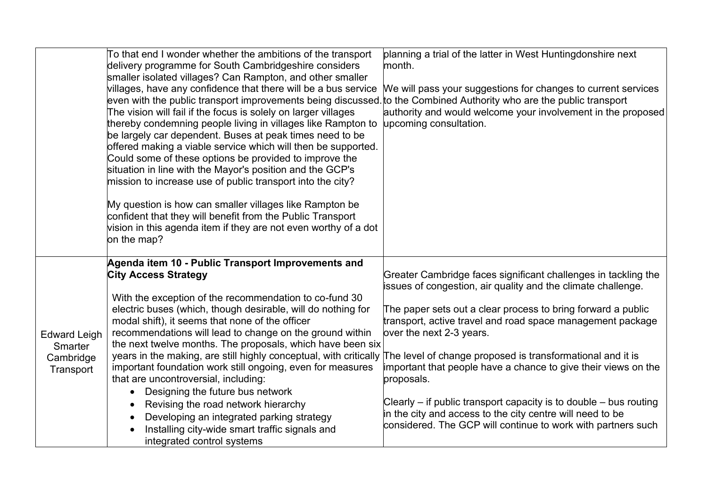|                                | To that end I wonder whether the ambitions of the transport<br>delivery programme for South Cambridgeshire considers<br>smaller isolated villages? Can Rampton, and other smaller<br>villages, have any confidence that there will be a bus service<br>even with the public transport improvements being discussed to the Combined Authority who are the public transport<br>The vision will fail if the focus is solely on larger villages<br>thereby condemning people living in villages like Rampton to<br>be largely car dependent. Buses at peak times need to be<br>offered making a viable service which will then be supported.<br>Could some of these options be provided to improve the<br>situation in line with the Mayor's position and the GCP's<br>mission to increase use of public transport into the city?<br>My question is how can smaller villages like Rampton be<br>confident that they will benefit from the Public Transport<br>vision in this agenda item if they are not even worthy of a dot<br>on the map? | planning a trial of the latter in West Huntingdonshire next<br>month.<br>We will pass your suggestions for changes to current services<br>authority and would welcome your involvement in the proposed<br>upcoming consultation. |
|--------------------------------|------------------------------------------------------------------------------------------------------------------------------------------------------------------------------------------------------------------------------------------------------------------------------------------------------------------------------------------------------------------------------------------------------------------------------------------------------------------------------------------------------------------------------------------------------------------------------------------------------------------------------------------------------------------------------------------------------------------------------------------------------------------------------------------------------------------------------------------------------------------------------------------------------------------------------------------------------------------------------------------------------------------------------------------|----------------------------------------------------------------------------------------------------------------------------------------------------------------------------------------------------------------------------------|
|                                | Agenda item 10 - Public Transport Improvements and<br><b>City Access Strategy</b>                                                                                                                                                                                                                                                                                                                                                                                                                                                                                                                                                                                                                                                                                                                                                                                                                                                                                                                                                        | Greater Cambridge faces significant challenges in tackling the<br>issues of congestion, air quality and the climate challenge.                                                                                                   |
| <b>Edward Leigh</b><br>Smarter | With the exception of the recommendation to co-fund 30<br>electric buses (which, though desirable, will do nothing for<br>modal shift), it seems that none of the officer<br>recommendations will lead to change on the ground within<br>the next twelve months. The proposals, which have been six                                                                                                                                                                                                                                                                                                                                                                                                                                                                                                                                                                                                                                                                                                                                      | The paper sets out a clear process to bring forward a public<br>transport, active travel and road space management package<br>over the next 2-3 years.                                                                           |
| Cambridge<br>Transport         | years in the making, are still highly conceptual, with critically<br>important foundation work still ongoing, even for measures<br>that are uncontroversial, including:                                                                                                                                                                                                                                                                                                                                                                                                                                                                                                                                                                                                                                                                                                                                                                                                                                                                  | The level of change proposed is transformational and it is<br>important that people have a chance to give their views on the<br>proposals.                                                                                       |
|                                | Designing the future bus network<br>Revising the road network hierarchy<br>Developing an integrated parking strategy<br>Installing city-wide smart traffic signals and<br>integrated control systems                                                                                                                                                                                                                                                                                                                                                                                                                                                                                                                                                                                                                                                                                                                                                                                                                                     | Clearly $-$ if public transport capacity is to double $-$ bus routing<br>in the city and access to the city centre will need to be<br>considered. The GCP will continue to work with partners such                               |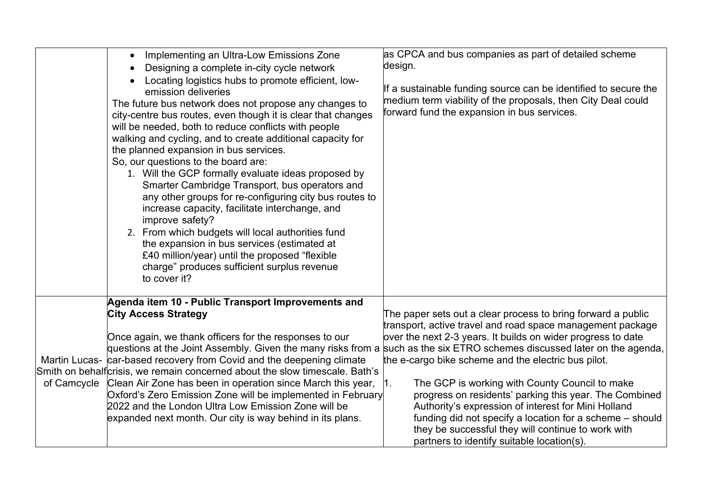|             | Implementing an Ultra-Low Emissions Zone<br>$\bullet$<br>Designing a complete in-city cycle network<br>Locating logistics hubs to promote efficient, low-<br>emission deliveries<br>The future bus network does not propose any changes to<br>city-centre bus routes, even though it is clear that changes<br>will be needed, both to reduce conflicts with people<br>walking and cycling, and to create additional capacity for<br>the planned expansion in bus services.<br>So, our questions to the board are:<br>1. Will the GCP formally evaluate ideas proposed by<br>Smarter Cambridge Transport, bus operators and<br>any other groups for re-configuring city bus routes to<br>increase capacity, facilitate interchange, and<br>improve safety?<br>2. From which budgets will local authorities fund<br>the expansion in bus services (estimated at<br>£40 million/year) until the proposed "flexible<br>charge" produces sufficient surplus revenue<br>to cover it? | as CPCA and bus companies as part of detailed scheme<br>design.<br>If a sustainable funding source can be identified to secure the<br>medium term viability of the proposals, then City Deal could<br>forward fund the expansion in bus services.                                                                                                                                                                                                                                                                                                                                                                                                                                                                      |
|-------------|--------------------------------------------------------------------------------------------------------------------------------------------------------------------------------------------------------------------------------------------------------------------------------------------------------------------------------------------------------------------------------------------------------------------------------------------------------------------------------------------------------------------------------------------------------------------------------------------------------------------------------------------------------------------------------------------------------------------------------------------------------------------------------------------------------------------------------------------------------------------------------------------------------------------------------------------------------------------------------|------------------------------------------------------------------------------------------------------------------------------------------------------------------------------------------------------------------------------------------------------------------------------------------------------------------------------------------------------------------------------------------------------------------------------------------------------------------------------------------------------------------------------------------------------------------------------------------------------------------------------------------------------------------------------------------------------------------------|
| of Camcycle | Agenda item 10 - Public Transport Improvements and<br><b>City Access Strategy</b><br>Once again, we thank officers for the responses to our<br>Martin Lucas- car-based recovery from Covid and the deepening climate<br>Smith on behalfcrisis, we remain concerned about the slow timescale. Bath's<br>Clean Air Zone has been in operation since March this year,<br>Oxford's Zero Emission Zone will be implemented in February<br>2022 and the London Ultra Low Emission Zone will be<br>expanded next month. Our city is way behind in its plans.                                                                                                                                                                                                                                                                                                                                                                                                                          | The paper sets out a clear process to bring forward a public<br>transport, active travel and road space management package<br>over the next 2-3 years. It builds on wider progress to date<br>questions at the Joint Assembly. Given the many risks from a such as the six ETRO schemes discussed later on the agenda,<br>the e-cargo bike scheme and the electric bus pilot.<br>The GCP is working with County Council to make<br>1.<br>progress on residents' parking this year. The Combined<br>Authority's expression of interest for Mini Holland<br>funding did not specify a location for a scheme – should<br>they be successful they will continue to work with<br>partners to identify suitable location(s). |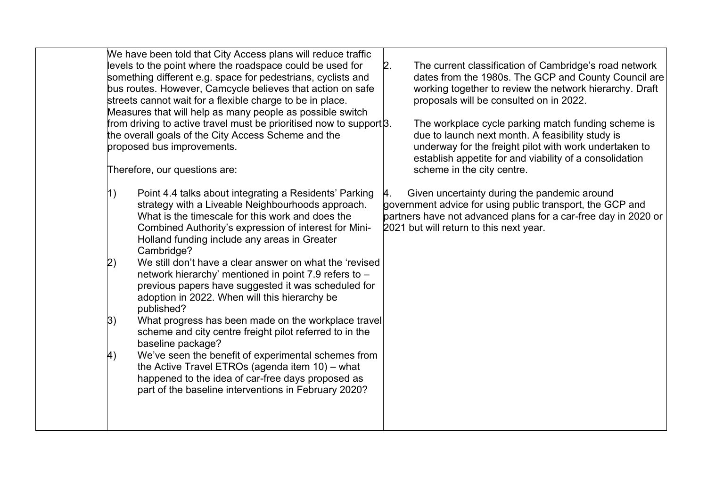|                                      | We have been told that City Access plans will reduce traffic<br>levels to the point where the roadspace could be used for<br>something different e.g. space for pedestrians, cyclists and<br>bus routes. However, Camcycle believes that action on safe<br>streets cannot wait for a flexible charge to be in place.<br>Measures that will help as many people as possible switch<br>from driving to active travel must be prioritised now to support $\beta$ .<br>the overall goals of the City Access Scheme and the<br>proposed bus improvements.<br>Therefore, our questions are:                                                                                                                                                                                                                                                                                                          | 2. | The current classification of Cambridge's road network<br>dates from the 1980s. The GCP and County Council are<br>working together to review the network hierarchy. Draft<br>proposals will be consulted on in 2022.<br>The workplace cycle parking match funding scheme is<br>due to launch next month. A feasibility study is<br>underway for the freight pilot with work undertaken to<br>establish appetite for and viability of a consolidation<br>scheme in the city centre. |
|--------------------------------------|------------------------------------------------------------------------------------------------------------------------------------------------------------------------------------------------------------------------------------------------------------------------------------------------------------------------------------------------------------------------------------------------------------------------------------------------------------------------------------------------------------------------------------------------------------------------------------------------------------------------------------------------------------------------------------------------------------------------------------------------------------------------------------------------------------------------------------------------------------------------------------------------|----|------------------------------------------------------------------------------------------------------------------------------------------------------------------------------------------------------------------------------------------------------------------------------------------------------------------------------------------------------------------------------------------------------------------------------------------------------------------------------------|
| 1)<br> 2)<br> 3)<br>$\left(4\right)$ | Point 4.4 talks about integrating a Residents' Parking<br>strategy with a Liveable Neighbourhoods approach.<br>What is the timescale for this work and does the<br>Combined Authority's expression of interest for Mini-<br>Holland funding include any areas in Greater<br>Cambridge?<br>We still don't have a clear answer on what the 'revised<br>network hierarchy' mentioned in point 7.9 refers to -<br>previous papers have suggested it was scheduled for<br>adoption in 2022. When will this hierarchy be<br>published?<br>What progress has been made on the workplace travel<br>scheme and city centre freight pilot referred to in the<br>baseline package?<br>We've seen the benefit of experimental schemes from<br>the Active Travel ETROs (agenda item 10) - what<br>happened to the idea of car-free days proposed as<br>part of the baseline interventions in February 2020? | 4. | Given uncertainty during the pandemic around<br>government advice for using public transport, the GCP and<br>partners have not advanced plans for a car-free day in 2020 or<br>2021 but will return to this next year.                                                                                                                                                                                                                                                             |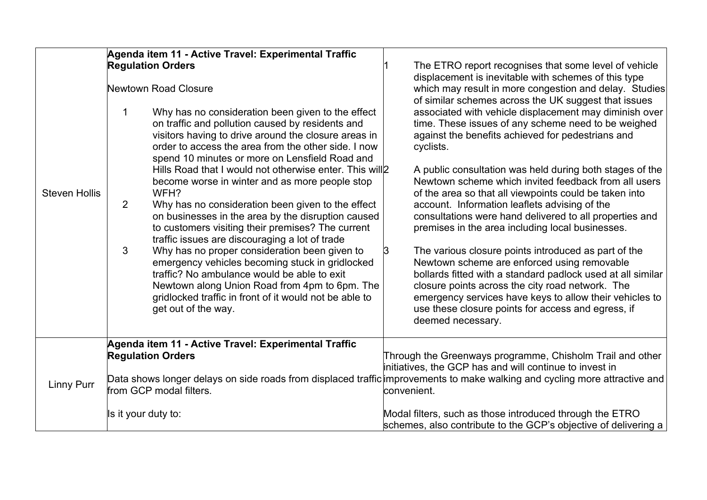| <b>Steven Hollis</b> | Agenda item 11 - Active Travel: Experimental Traffic<br><b>Regulation Orders</b><br>Newtown Road Closure<br>Why has no consideration been given to the effect<br>1<br>on traffic and pollution caused by residents and<br>visitors having to drive around the closure areas in<br>order to access the area from the other side. I now<br>spend 10 minutes or more on Lensfield Road and<br>Hills Road that I would not otherwise enter. This will 2<br>become worse in winter and as more people stop<br>WFH?<br>$\overline{2}$<br>Why has no consideration been given to the effect<br>on businesses in the area by the disruption caused<br>to customers visiting their premises? The current<br>traffic issues are discouraging a lot of trade<br>3<br>Why has no proper consideration been given to<br>emergency vehicles becoming stuck in gridlocked<br>traffic? No ambulance would be able to exit<br>Newtown along Union Road from 4pm to 6pm. The<br>gridlocked traffic in front of it would not be able to<br>get out of the way. | The ETRO report recognises that some level of vehicle<br>displacement is inevitable with schemes of this type<br>which may result in more congestion and delay. Studies<br>of similar schemes across the UK suggest that issues<br>associated with vehicle displacement may diminish over<br>time. These issues of any scheme need to be weighed<br>against the benefits achieved for pedestrians and<br>cyclists.<br>A public consultation was held during both stages of the<br>Newtown scheme which invited feedback from all users<br>of the area so that all viewpoints could be taken into<br>account. Information leaflets advising of the<br>consultations were hand delivered to all properties and<br>premises in the area including local businesses.<br>The various closure points introduced as part of the<br>3<br>Newtown scheme are enforced using removable<br>bollards fitted with a standard padlock used at all similar<br>closure points across the city road network. The<br>emergency services have keys to allow their vehicles to<br>use these closure points for access and egress, if<br>deemed necessary. |
|----------------------|---------------------------------------------------------------------------------------------------------------------------------------------------------------------------------------------------------------------------------------------------------------------------------------------------------------------------------------------------------------------------------------------------------------------------------------------------------------------------------------------------------------------------------------------------------------------------------------------------------------------------------------------------------------------------------------------------------------------------------------------------------------------------------------------------------------------------------------------------------------------------------------------------------------------------------------------------------------------------------------------------------------------------------------------|---------------------------------------------------------------------------------------------------------------------------------------------------------------------------------------------------------------------------------------------------------------------------------------------------------------------------------------------------------------------------------------------------------------------------------------------------------------------------------------------------------------------------------------------------------------------------------------------------------------------------------------------------------------------------------------------------------------------------------------------------------------------------------------------------------------------------------------------------------------------------------------------------------------------------------------------------------------------------------------------------------------------------------------------------------------------------------------------------------------------------------------|
| <b>Linny Purr</b>    | Agenda item 11 - Active Travel: Experimental Traffic<br><b>Regulation Orders</b><br>from GCP modal filters.<br>Is it your duty to:                                                                                                                                                                                                                                                                                                                                                                                                                                                                                                                                                                                                                                                                                                                                                                                                                                                                                                          | Through the Greenways programme, Chisholm Trail and other<br>initiatives, the GCP has and will continue to invest in<br>Data shows longer delays on side roads from displaced traffic improvements to make walking and cycling more attractive and<br>convenient.<br>Modal filters, such as those introduced through the ETRO<br>schemes, also contribute to the GCP's objective of delivering a                                                                                                                                                                                                                                                                                                                                                                                                                                                                                                                                                                                                                                                                                                                                      |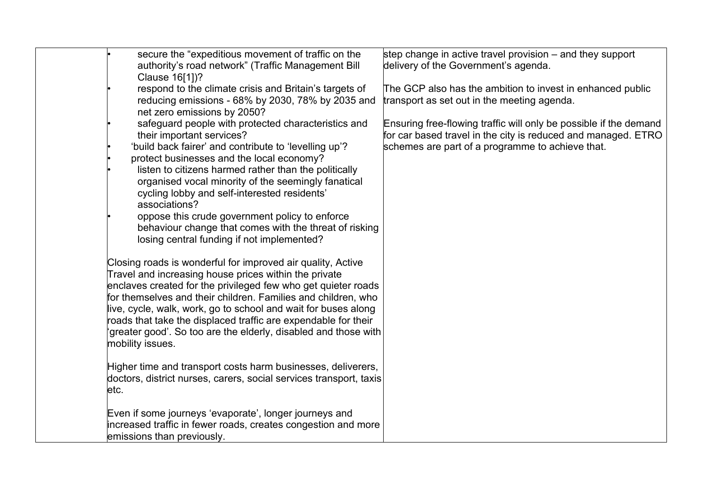|      | secure the "expeditious movement of traffic on the<br>authority's road network" (Traffic Management Bill<br>Clause 16[1])?<br>respond to the climate crisis and Britain's targets of<br>reducing emissions - 68% by 2030, 78% by 2035 and<br>net zero emissions by 2050?<br>safeguard people with protected characteristics and<br>their important services?<br>'build back fairer' and contribute to 'levelling up'?<br>protect businesses and the local economy?<br>listen to citizens harmed rather than the politically<br>organised vocal minority of the seemingly fanatical<br>cycling lobby and self-interested residents'<br>associations?<br>oppose this crude government policy to enforce<br>behaviour change that comes with the threat of risking                                                                | step change in active travel provision – and they support<br>delivery of the Government's agenda.<br>The GCP also has the ambition to invest in enhanced public<br>transport as set out in the meeting agenda.<br>Ensuring free-flowing traffic will only be possible if the demand<br>for car based travel in the city is reduced and managed. ETRO<br>schemes are part of a programme to achieve that. |
|------|--------------------------------------------------------------------------------------------------------------------------------------------------------------------------------------------------------------------------------------------------------------------------------------------------------------------------------------------------------------------------------------------------------------------------------------------------------------------------------------------------------------------------------------------------------------------------------------------------------------------------------------------------------------------------------------------------------------------------------------------------------------------------------------------------------------------------------|----------------------------------------------------------------------------------------------------------------------------------------------------------------------------------------------------------------------------------------------------------------------------------------------------------------------------------------------------------------------------------------------------------|
| etc. | losing central funding if not implemented?<br>Closing roads is wonderful for improved air quality, Active<br>Travel and increasing house prices within the private<br>enclaves created for the privileged few who get quieter roads<br>for themselves and their children. Families and children, who<br>live, cycle, walk, work, go to school and wait for buses along<br>roads that take the displaced traffic are expendable for their<br>'greater good'. So too are the elderly, disabled and those with<br>mobility issues.<br>Higher time and transport costs harm businesses, deliverers,<br>doctors, district nurses, carers, social services transport, taxis<br>Even if some journeys 'evaporate', longer journeys and<br>increased traffic in fewer roads, creates congestion and more<br>emissions than previously. |                                                                                                                                                                                                                                                                                                                                                                                                          |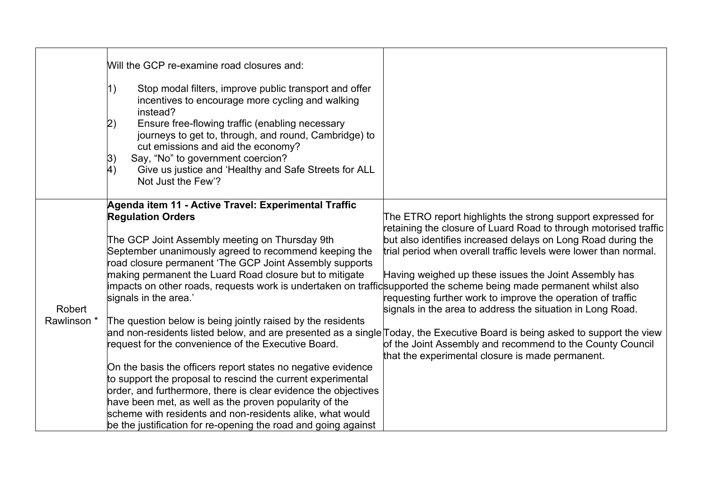|                       | Will the GCP re-examine road closures and:<br>Stop modal filters, improve public transport and offer<br>1)<br>incentives to encourage more cycling and walking<br>instead?<br>Ensure free-flowing traffic (enabling necessary<br> 2)<br>journeys to get to, through, and round, Cambridge) to<br>cut emissions and aid the economy?<br>Say, "No" to government coercion?<br> 3)<br>4)<br>Give us justice and 'Healthy and Safe Streets for ALL<br>Not Just the Few'?                                                                                                                                                                                                                                                                                                                                                                                                                                                                                                              |                                                                                                                                                                                                                                                                                                                                                                                                                                                                                                                                                                                                                                                                                                           |
|-----------------------|-----------------------------------------------------------------------------------------------------------------------------------------------------------------------------------------------------------------------------------------------------------------------------------------------------------------------------------------------------------------------------------------------------------------------------------------------------------------------------------------------------------------------------------------------------------------------------------------------------------------------------------------------------------------------------------------------------------------------------------------------------------------------------------------------------------------------------------------------------------------------------------------------------------------------------------------------------------------------------------|-----------------------------------------------------------------------------------------------------------------------------------------------------------------------------------------------------------------------------------------------------------------------------------------------------------------------------------------------------------------------------------------------------------------------------------------------------------------------------------------------------------------------------------------------------------------------------------------------------------------------------------------------------------------------------------------------------------|
| Robert<br>Rawlinson * | Agenda item 11 - Active Travel: Experimental Traffic<br><b>Regulation Orders</b><br>The GCP Joint Assembly meeting on Thursday 9th<br>September unanimously agreed to recommend keeping the<br>road closure permanent 'The GCP Joint Assembly supports<br>making permanent the Luard Road closure but to mitigate<br>impacts on other roads, requests work is undertaken on trafficsupported the scheme being made permanent whilst also<br>signals in the area.'<br>The question below is being jointly raised by the residents<br>request for the convenience of the Executive Board.<br>On the basis the officers report states no negative evidence<br>to support the proposal to rescind the current experimental<br>order, and furthermore, there is clear evidence the objectives<br>have been met, as well as the proven popularity of the<br>scheme with residents and non-residents alike, what would<br>be the justification for re-opening the road and going against | The ETRO report highlights the strong support expressed for<br>retaining the closure of Luard Road to through motorised traffic<br>but also identifies increased delays on Long Road during the<br>trial period when overall traffic levels were lower than normal.<br>Having weighed up these issues the Joint Assembly has<br>requesting further work to improve the operation of traffic<br>signals in the area to address the situation in Long Road.<br>and non-residents listed below, and are presented as a single Today, the Executive Board is being asked to support the view<br>of the Joint Assembly and recommend to the County Council<br>that the experimental closure is made permanent. |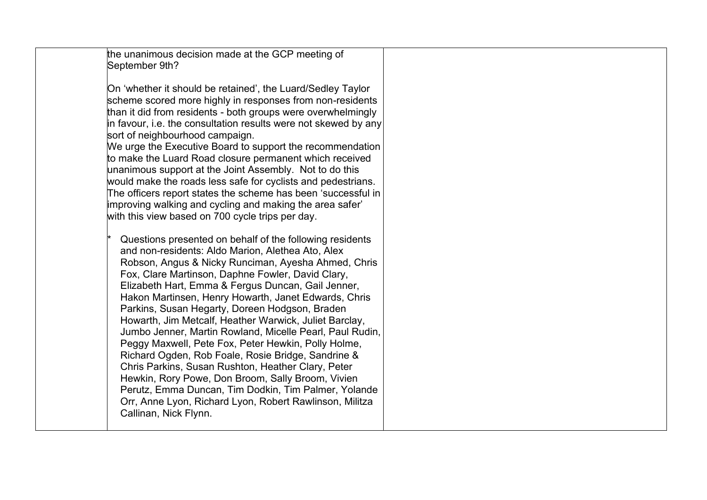| the unanimous decision made at the GCP meeting of                                                            |  |
|--------------------------------------------------------------------------------------------------------------|--|
| September 9th?                                                                                               |  |
|                                                                                                              |  |
| On 'whether it should be retained', the Luard/Sedley Taylor                                                  |  |
| scheme scored more highly in responses from non-residents                                                    |  |
| than it did from residents - both groups were overwhelmingly                                                 |  |
| in favour, i.e. the consultation results were not skewed by any                                              |  |
| sort of neighbourhood campaign.                                                                              |  |
| We urge the Executive Board to support the recommendation                                                    |  |
| to make the Luard Road closure permanent which received                                                      |  |
| unanimous support at the Joint Assembly. Not to do this                                                      |  |
| would make the roads less safe for cyclists and pedestrians.                                                 |  |
| The officers report states the scheme has been 'successful in                                                |  |
| improving walking and cycling and making the area safer'<br>with this view based on 700 cycle trips per day. |  |
|                                                                                                              |  |
| Questions presented on behalf of the following residents                                                     |  |
| and non-residents: Aldo Marion, Alethea Ato, Alex                                                            |  |
| Robson, Angus & Nicky Runciman, Ayesha Ahmed, Chris                                                          |  |
| Fox, Clare Martinson, Daphne Fowler, David Clary,                                                            |  |
| Elizabeth Hart, Emma & Fergus Duncan, Gail Jenner,                                                           |  |
| Hakon Martinsen, Henry Howarth, Janet Edwards, Chris                                                         |  |
| Parkins, Susan Hegarty, Doreen Hodgson, Braden                                                               |  |
| Howarth, Jim Metcalf, Heather Warwick, Juliet Barclay,                                                       |  |
| Jumbo Jenner, Martin Rowland, Micelle Pearl, Paul Rudin,                                                     |  |
| Peggy Maxwell, Pete Fox, Peter Hewkin, Polly Holme,                                                          |  |
| Richard Ogden, Rob Foale, Rosie Bridge, Sandrine &                                                           |  |
| Chris Parkins, Susan Rushton, Heather Clary, Peter                                                           |  |
| Hewkin, Rory Powe, Don Broom, Sally Broom, Vivien                                                            |  |
| Perutz, Emma Duncan, Tim Dodkin, Tim Palmer, Yolande                                                         |  |
| Orr, Anne Lyon, Richard Lyon, Robert Rawlinson, Militza<br>Callinan, Nick Flynn.                             |  |
|                                                                                                              |  |
|                                                                                                              |  |